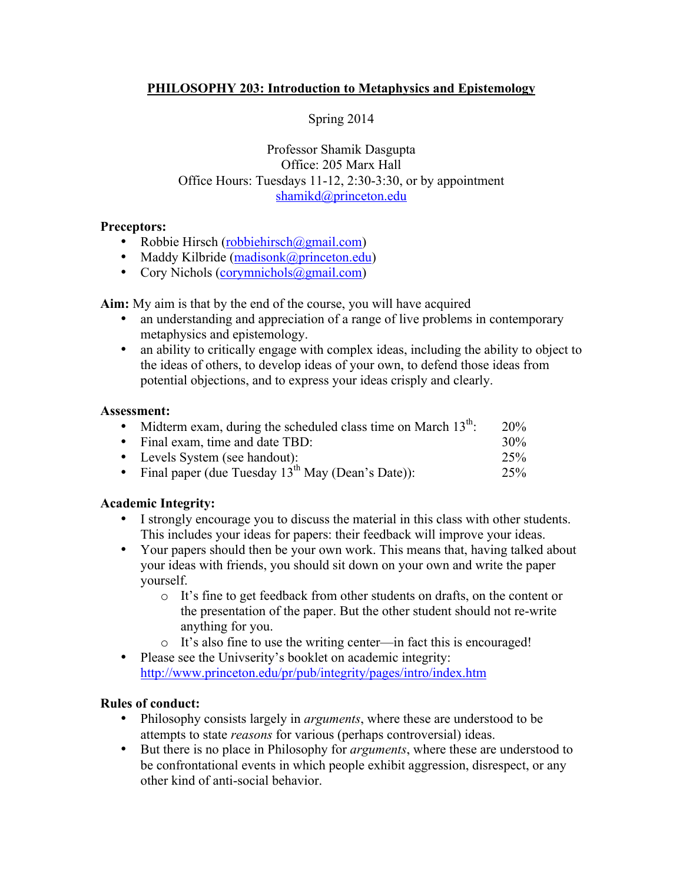# **PHILOSOPHY 203: Introduction to Metaphysics and Epistemology**

# Spring 2014

## Professor Shamik Dasgupta Office: 205 Marx Hall Office Hours: Tuesdays 11-12, 2:30-3:30, or by appointment shamikd@princeton.edu

## **Preceptors:**

- Robbie Hirsch (robbiehirsch@gmail.com)
- Maddy Kilbride (madisonk@princeton.edu)
- Cory Nichols (corymnichols@gmail.com)

**Aim:** My aim is that by the end of the course, you will have acquired

- an understanding and appreciation of a range of live problems in contemporary metaphysics and epistemology.
- an ability to critically engage with complex ideas, including the ability to object to the ideas of others, to develop ideas of your own, to defend those ideas from potential objections, and to express your ideas crisply and clearly.

#### **Assessment:**

| • Midterm exam, during the scheduled class time on March $13^{\text{th}}$ . | 20%    |
|-----------------------------------------------------------------------------|--------|
| • Final exam, time and date TBD:                                            | $30\%$ |
| • Levels System (see handout):                                              | 25%    |
| • Final paper (due Tuesday $13^{th}$ May (Dean's Date)):                    | 25%    |

## **Academic Integrity:**

- I strongly encourage you to discuss the material in this class with other students. This includes your ideas for papers: their feedback will improve your ideas.
- Your papers should then be your own work. This means that, having talked about your ideas with friends, you should sit down on your own and write the paper yourself.
	- o It's fine to get feedback from other students on drafts, on the content or the presentation of the paper. But the other student should not re-write anything for you.
	- o It's also fine to use the writing center—in fact this is encouraged!
- Please see the Univserity's booklet on academic integrity: http://www.princeton.edu/pr/pub/integrity/pages/intro/index.htm

## **Rules of conduct:**

- Philosophy consists largely in *arguments*, where these are understood to be attempts to state *reasons* for various (perhaps controversial) ideas.
- But there is no place in Philosophy for *arguments*, where these are understood to be confrontational events in which people exhibit aggression, disrespect, or any other kind of anti-social behavior.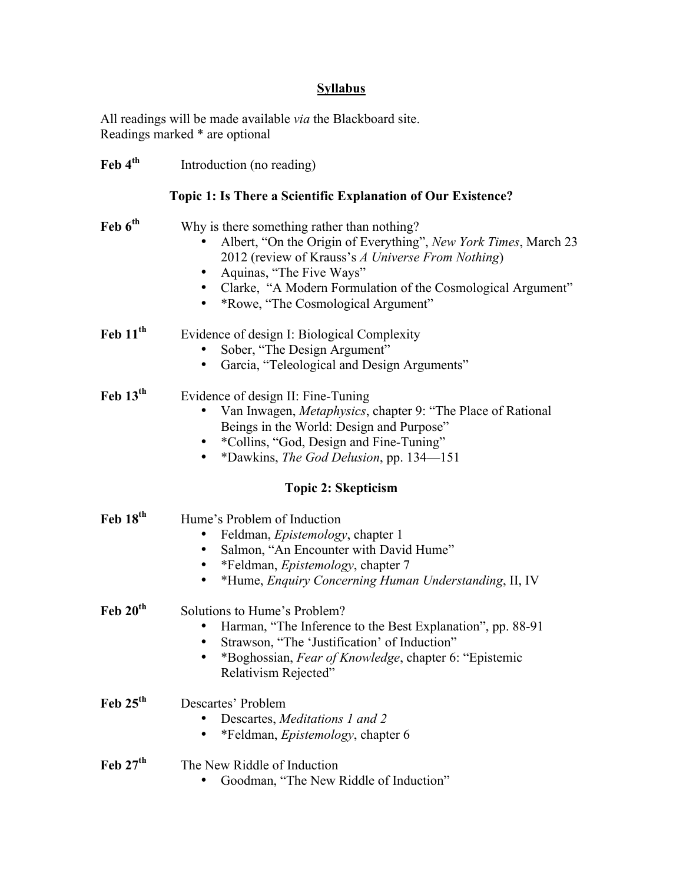# **Syllabus**

All readings will be made available *via* the Blackboard site. Readings marked \* are optional

| $\text{Feb } 4^{\text{th}}$ | Introduction (no reading)                                                                                                                                                                                                                                                                                         |
|-----------------------------|-------------------------------------------------------------------------------------------------------------------------------------------------------------------------------------------------------------------------------------------------------------------------------------------------------------------|
|                             | Topic 1: Is There a Scientific Explanation of Our Existence?                                                                                                                                                                                                                                                      |
| Feb 6 <sup>th</sup>         | Why is there something rather than nothing?<br>Albert, "On the Origin of Everything", New York Times, March 23<br>2012 (review of Krauss's A Universe From Nothing)<br>Aquinas, "The Five Ways"<br>Clarke, "A Modern Formulation of the Cosmological Argument"<br>*Rowe, "The Cosmological Argument"<br>$\bullet$ |
| Feb $11th$                  | Evidence of design I: Biological Complexity<br>Sober, "The Design Argument"<br>$\bullet$<br>Garcia, "Teleological and Design Arguments"<br>$\bullet$                                                                                                                                                              |
| Feb $13th$                  | Evidence of design II: Fine-Tuning<br>Van Inwagen, Metaphysics, chapter 9: "The Place of Rational<br>Beings in the World: Design and Purpose"<br>*Collins, "God, Design and Fine-Tuning"<br>*Dawkins, The God Delusion, pp. 134-151<br>$\bullet$                                                                  |
|                             | <b>Topic 2: Skepticism</b>                                                                                                                                                                                                                                                                                        |
| Feb 18 <sup>th</sup>        | Hume's Problem of Induction<br>Feldman, Epistemology, chapter 1<br>Salmon, "An Encounter with David Hume"<br>$\bullet$<br>*Feldman, <i>Epistemology</i> , chapter 7<br>$\bullet$<br>*Hume, Enquiry Concerning Human Understanding, II, IV                                                                         |
| Feb $20th$                  | Solutions to Hume's Problem?<br>Harman, "The Inference to the Best Explanation", pp. 88-91<br>Strawson, "The 'Justification' of Induction"<br>٠<br>*Boghossian, Fear of Knowledge, chapter 6: "Epistemic<br>Relativism Rejected"                                                                                  |
| Feb $25th$                  | Descartes' Problem<br>Descartes, Meditations 1 and 2<br>٠<br>*Feldman, <i>Epistemology</i> , chapter 6                                                                                                                                                                                                            |
| Feb $27th$                  | The New Riddle of Induction<br>Goodman, "The New Riddle of Induction"                                                                                                                                                                                                                                             |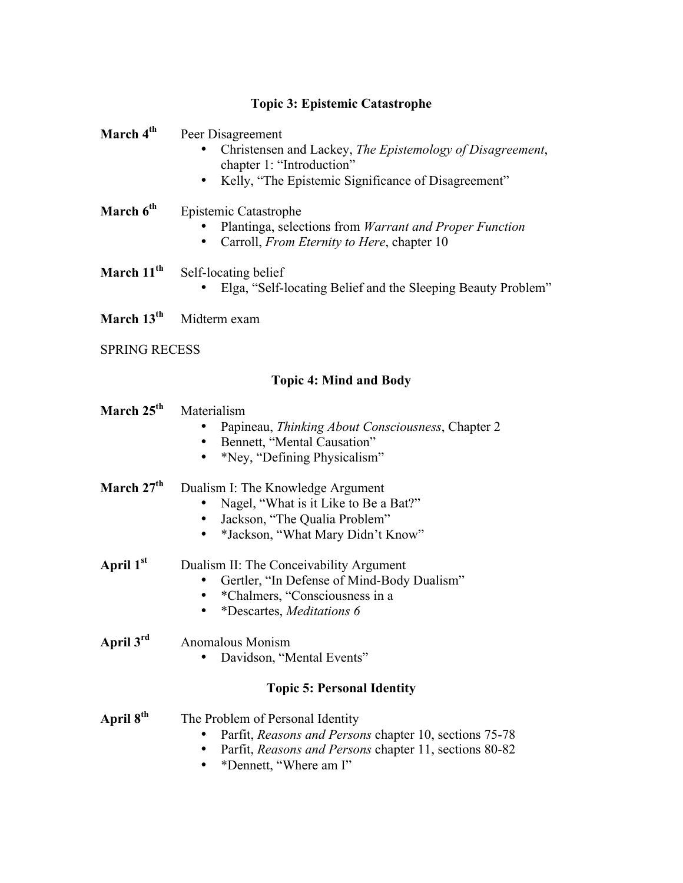# **Topic 3: Epistemic Catastrophe**

| March 4 <sup>th</sup>  | Peer Disagreement<br>Christensen and Lackey, The Epistemology of Disagreement,<br>chapter 1: "Introduction"<br>Kelly, "The Epistemic Significance of Disagreement"<br>$\bullet$ |
|------------------------|---------------------------------------------------------------------------------------------------------------------------------------------------------------------------------|
| March 6 <sup>th</sup>  | Epistemic Catastrophe<br>Plantinga, selections from Warrant and Proper Function<br>Carroll, <i>From Eternity to Here</i> , chapter 10<br>$\bullet$                              |
| March 11 <sup>th</sup> | Self-locating belief<br>Elga, "Self-locating Belief and the Sleeping Beauty Problem"                                                                                            |
| March 13 <sup>th</sup> | Midterm exam                                                                                                                                                                    |
| <b>SPRING RECESS</b>   |                                                                                                                                                                                 |
|                        | <b>Topic 4: Mind and Body</b>                                                                                                                                                   |
| March 25 <sup>th</sup> | Materialism<br>Papineau, Thinking About Consciousness, Chapter 2<br>Bennett, "Mental Causation"<br>*Ney, "Defining Physicalism"<br>$\bullet$                                    |
| March 27 <sup>th</sup> | Dualism I: The Knowledge Argument<br>Nagel, "What is it Like to Be a Bat?"<br>Jackson, "The Qualia Problem"<br>*Jackson, "What Mary Didn't Know"<br>$\bullet$                   |
| April $1^\mathrm{st}$  | Dualism II: The Conceivability Argument<br>Gertler, "In Defense of Mind-Body Dualism"<br>*Chalmers, "Consciousness in a<br>*Descartes, Meditations 6<br>$\bullet$               |
| April 3 <sup>rd</sup>  | Anomalous Monism<br>Davidson, "Mental Events"                                                                                                                                   |
|                        | <b>Topic 5: Personal Identity</b>                                                                                                                                               |
| April 8 <sup>th</sup>  | The Problem of Personal Identity<br>Parfit, Reasons and Persons chapter 10, sections 75-78<br>Parfit, Reasons and Persons chapter 11, sections 80-82<br>*Dennett, "Where am I"  |